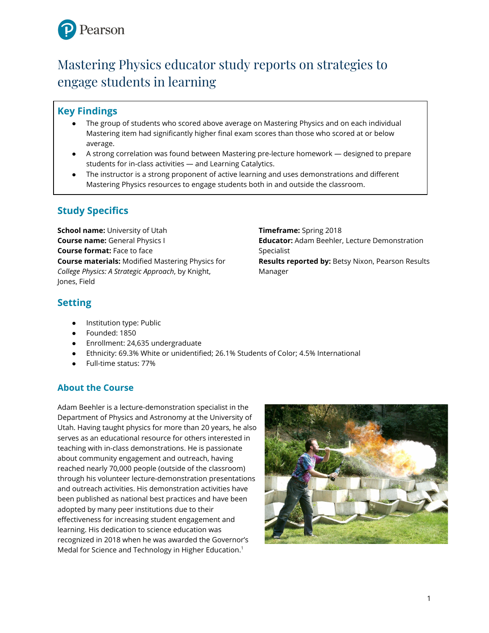

# Mastering Physics educator study reports on strategies to engage students in learning

## **Key Findings**

- The group of students who scored above average on Mastering Physics and on each individual Mastering item had significantly higher final exam scores than those who scored at or below average.
- A strong correlation was found between Mastering pre-lecture homework designed to prepare students for in-class activities — and Learning Catalytics.
- The instructor is a strong proponent of active learning and uses demonstrations and different Mastering Physics resources to engage students both in and outside the classroom.

## **Study Specifics**

**School name:** University of Utah **Course name:** General Physics I **Course format:** Face to face **Course materials:** Modified Mastering Physics for *College Physics: A Strategic Approach*, by Knight, Jones, Field

**Timeframe:** Spring 2018 **Educator:** Adam Beehler, Lecture Demonstration Specialist

**Results reported by:** Betsy Nixon, Pearson Results Manager

## **Setting**

- Institution type: Public
- Founded: 1850
- Enrollment: 24,635 undergraduate
- Ethnicity: 69.3% White or unidentified; 26.1% Students of Color; 4.5% International
- Full-time status: 77%

## **About the Course**

Adam Beehler is a lecture-demonstration specialist in the Department of Physics and Astronomy at the University of Utah. Having taught physics for more than 20 years, he also serves as an educational resource for others interested in teaching with in-class demonstrations. He is passionate about community engagement and outreach, having reached nearly 70,000 people (outside of the classroom) through his volunteer lecture-demonstration presentations and outreach activities. His demonstration activities have been published as national best practices and have been adopted by many peer institutions due to their effectiveness for increasing student engagement and learning. His dedication to science education was recognized in 2018 when he was awarded the Governor's Medal for Science and Technology in Higher Education.<sup>1</sup>

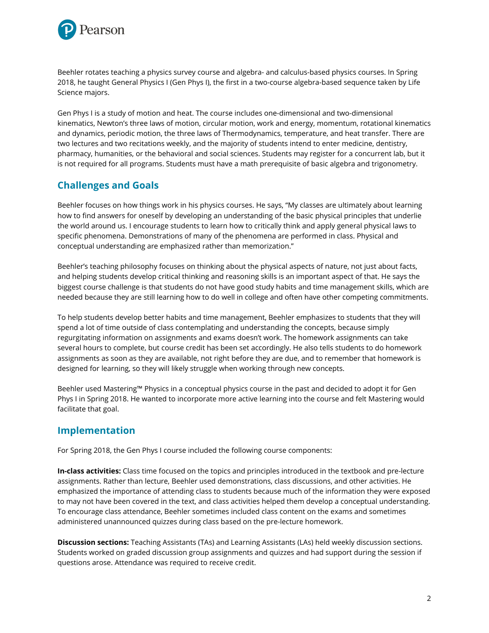

Beehler rotates teaching a physics survey course and algebra- and calculus-based physics courses. In Spring 2018, he taught General Physics I (Gen Phys I), the first in a two-course algebra-based sequence taken by Life Science majors.

Gen Phys I is a study of motion and heat. The course includes one-dimensional and two-dimensional kinematics, Newton's three laws of motion, circular motion, work and energy, momentum, rotational kinematics and dynamics, periodic motion, the three laws of Thermodynamics, temperature, and heat transfer. There are two lectures and two recitations weekly, and the majority of students intend to enter medicine, dentistry, pharmacy, humanities, or the behavioral and social sciences. Students may register for a concurrent lab, but it is not required for all programs. Students must have a math prerequisite of basic algebra and trigonometry.

## **Challenges and Goals**

Beehler focuses on how things work in his physics courses. He says, "My classes are ultimately about learning how to find answers for oneself by developing an understanding of the basic physical principles that underlie the world around us. I encourage students to learn how to critically think and apply general physical laws to specific phenomena. Demonstrations of many of the phenomena are performed in class. Physical and conceptual understanding are emphasized rather than memorization."

Beehler's teaching philosophy focuses on thinking about the physical aspects of nature, not just about facts, and helping students develop critical thinking and reasoning skills is an important aspect of that. He says the biggest course challenge is that students do not have good study habits and time management skills, which are needed because they are still learning how to do well in college and often have other competing commitments.

To help students develop better habits and time management, Beehler emphasizes to students that they will spend a lot of time outside of class contemplating and understanding the concepts, because simply regurgitating information on assignments and exams doesn't work. The homework assignments can take several hours to complete, but course credit has been set accordingly. He also tells students to do homework assignments as soon as they are available, not right before they are due, and to remember that homework is designed for learning, so they will likely struggle when working through new concepts.

Beehler used Mastering™ Physics in a conceptual physics course in the past and decided to adopt it for Gen Phys I in Spring 2018. He wanted to incorporate more active learning into the course and felt Mastering would facilitate that goal.

## **Implementation**

For Spring 2018, the Gen Phys I course included the following course components:

**In-class activities:** Class time focused on the topics and principles introduced in the textbook and pre-lecture assignments. Rather than lecture, Beehler used demonstrations, class discussions, and other activities. He emphasized the importance of attending class to students because much of the information they were exposed to may not have been covered in the text, and class activities helped them develop a conceptual understanding. To encourage class attendance, Beehler sometimes included class content on the exams and sometimes administered unannounced quizzes during class based on the pre-lecture homework.

**Discussion sections:** Teaching Assistants (TAs) and Learning Assistants (LAs) held weekly discussion sections. Students worked on graded discussion group assignments and quizzes and had support during the session if questions arose. Attendance was required to receive credit.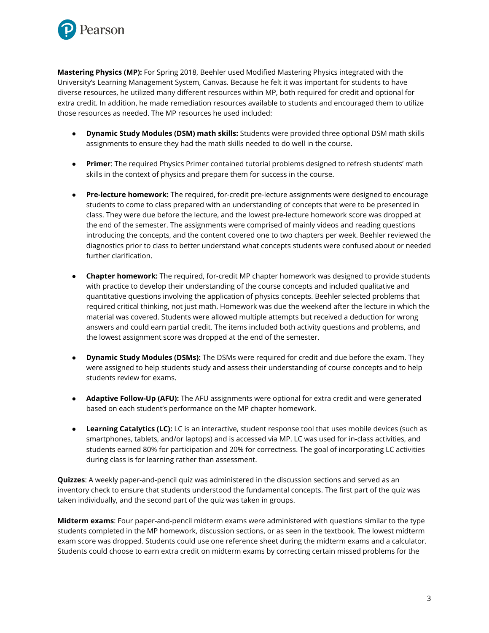

**Mastering Physics (MP):** For Spring 2018, Beehler used Modified Mastering Physics integrated with the University's Learning Management System, Canvas. Because he felt it was important for students to have diverse resources, he utilized many different resources within MP, both required for credit and optional for extra credit. In addition, he made remediation resources available to students and encouraged them to utilize those resources as needed. The MP resources he used included:

- **Dynamic Study Modules (DSM) math skills:** Students were provided three optional DSM math skills assignments to ensure they had the math skills needed to do well in the course.
- **Primer:** The required Physics Primer contained tutorial problems designed to refresh students' math skills in the context of physics and prepare them for success in the course.
- **Pre-lecture homework:** The required, for-credit pre-lecture assignments were designed to encourage students to come to class prepared with an understanding of concepts that were to be presented in class. They were due before the lecture, and the lowest pre-lecture homework score was dropped at the end of the semester. The assignments were comprised of mainly videos and reading questions introducing the concepts, and the content covered one to two chapters per week. Beehler reviewed the diagnostics prior to class to better understand what concepts students were confused about or needed further clarification.
- **Chapter homework:** The required, for-credit MP chapter homework was designed to provide students with practice to develop their understanding of the course concepts and included qualitative and quantitative questions involving the application of physics concepts. Beehler selected problems that required critical thinking, not just math. Homework was due the weekend after the lecture in which the material was covered. Students were allowed multiple attempts but received a deduction for wrong answers and could earn partial credit. The items included both activity questions and problems, and the lowest assignment score was dropped at the end of the semester.
- **Dynamic Study Modules (DSMs):** The DSMs were required for credit and due before the exam. They were assigned to help students study and assess their understanding of course concepts and to help students review for exams.
- **Adaptive Follow-Up (AFU):** The AFU assignments were optional for extra credit and were generated based on each student's performance on the MP chapter homework.
- **Learning Catalytics (LC):** LC is an interactive, student response tool that uses mobile devices (such as smartphones, tablets, and/or laptops) and is accessed via MP. LC was used for in-class activities, and students earned 80% for participation and 20% for correctness. The goal of incorporating LC activities during class is for learning rather than assessment.

**Quizzes**: A weekly paper-and-pencil quiz was administered in the discussion sections and served as an inventory check to ensure that students understood the fundamental concepts. The first part of the quiz was taken individually, and the second part of the quiz was taken in groups.

**Midterm exams**: Four paper-and-pencil midterm exams were administered with questions similar to the type students completed in the MP homework, discussion sections, or as seen in the textbook. The lowest midterm exam score was dropped. Students could use one reference sheet during the midterm exams and a calculator. Students could choose to earn extra credit on midterm exams by correcting certain missed problems for the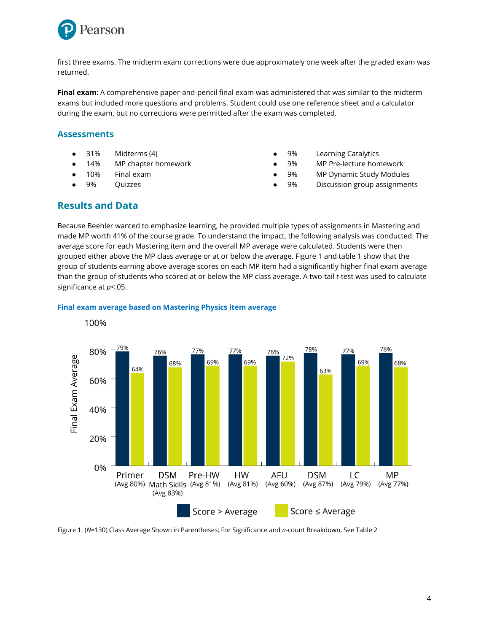

first three exams. The midterm exam corrections were due approximately one week after the graded exam was returned.

**Final exam**: A comprehensive paper-and-pencil final exam was administered that was similar to the midterm exams but included more questions and problems. Student could use one reference sheet and a calculator during the exam, but no corrections were permitted after the exam was completed.

### **Assessments**

- 31% Midterms (4)
- 14% MP chapter homework
- 10% Final exam
- 9% Quizzes
- 9% Learning Catalytics
- 9% MP Pre-lecture homework
- 9% MP Dynamic Study Modules
- 9% Discussion group assignments

## **Results and Data**

Because Beehler wanted to emphasize learning, he provided multiple types of assignments in Mastering and made MP worth 41% of the course grade. To understand the impact, the following analysis was conducted. The average score for each Mastering item and the overall MP average were calculated. Students were then grouped either above the MP class average or at or below the average. Figure 1 and table 1 show that the group of students earning above average scores on each MP item had a significantly higher final exam average than the group of students who scored at or below the MP class average. A two-tail *t*-test was used to calculate significance at *p*<.05.



#### **Final exam average based on Mastering Physics item average**

Figure 1. (*N*=130) Class Average Shown in Parentheses; For Significance and *n*-count Breakdown, See Table 2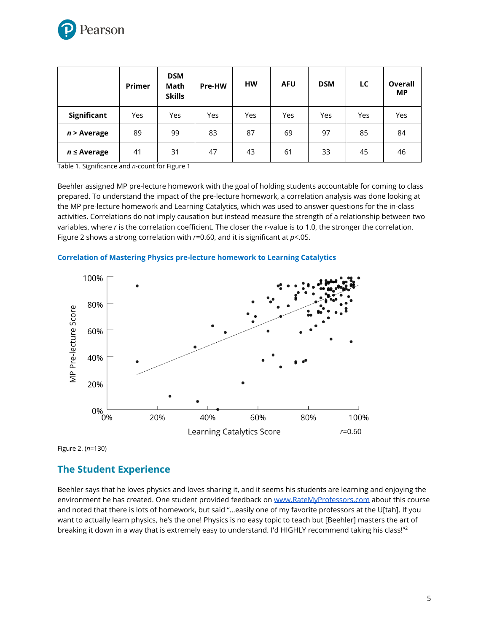

|                  | Primer | <b>DSM</b><br>Math<br><b>Skills</b> | Pre-HW | <b>HW</b> | <b>AFU</b> | <b>DSM</b> | LC  | Overall<br>МP |
|------------------|--------|-------------------------------------|--------|-----------|------------|------------|-----|---------------|
| Significant      | Yes    | Yes                                 | Yes    | Yes       | Yes        | Yes        | Yes | Yes           |
| $n >$ Average    | 89     | 99                                  | 83     | 87        | 69         | 97         | 85  | 84            |
| $n \leq$ Average | 41     | 31                                  | 47     | 43        | 61         | 33         | 45  | 46            |

Table 1. Significance and *n*-count for Figure 1

Beehler assigned MP pre-lecture homework with the goal of holding students accountable for coming to class prepared. To understand the impact of the pre-lecture homework, a correlation analysis was done looking at the MP pre-lecture homework and Learning Catalytics, which was used to answer questions for the in-class activities. Correlations do not imply causation but instead measure the strength of a relationship between two variables, where *r* is the correlation coefficient. The closer the *r*-value is to 1.0, the stronger the correlation. Figure 2 shows a strong correlation with *r*=0.60, and it is significant at *p*<.05.



#### **Correlation of Mastering Physics pre-lecture homework to Learning Catalytics**

Figure 2. (*n*=130)

## **The Student Experience**

Beehler says that he loves physics and loves sharing it, and it seems his students are learning and enjoying the environment he has created. One student provided feedback on [www.RateMyProfessors.com](http://www.ratemyprofessors.com/) about this course and noted that there is lots of homework, but said "…easily one of my favorite professors at the U[tah]. If you want to actually learn physics, he's the one! Physics is no easy topic to teach but [Beehler] masters the art of breaking it down in a way that is extremely easy to understand. I'd HIGHLY recommend taking his class!"<sup>2</sup>